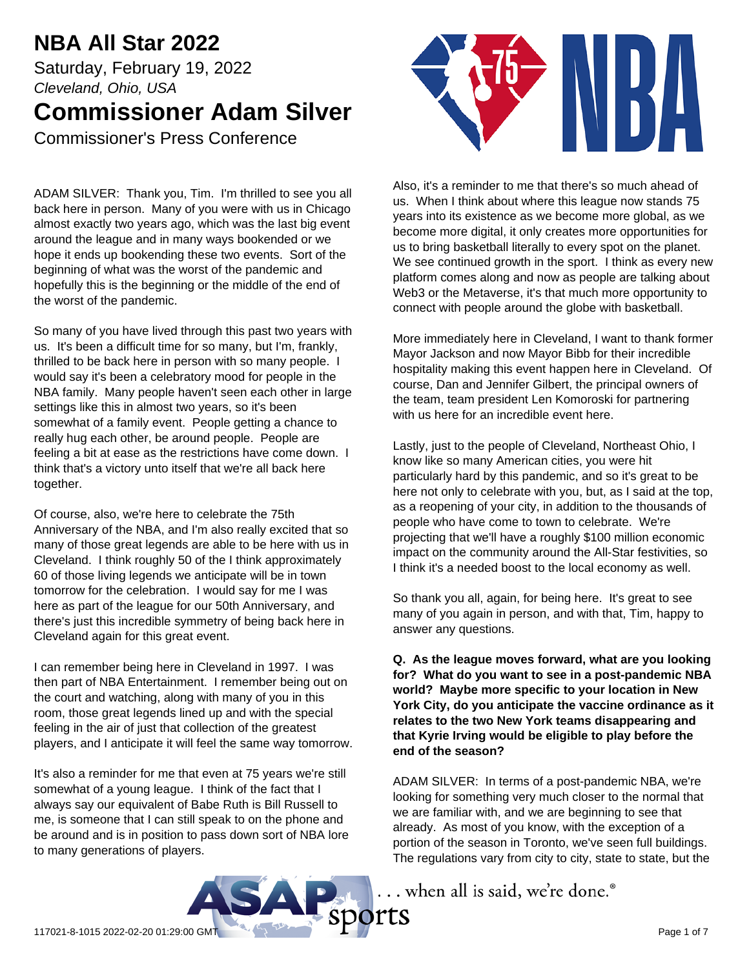# **NBA All Star 2022**

Saturday, February 19, 2022 *Cleveland, Ohio, USA* **Commissioner Adam Silver** Commissioner's Press Conference

ADAM SILVER: Thank you, Tim. I'm thrilled to see you all back here in person. Many of you were with us in Chicago almost exactly two years ago, which was the last big event around the league and in many ways bookended or we hope it ends up bookending these two events. Sort of the beginning of what was the worst of the pandemic and hopefully this is the beginning or the middle of the end of the worst of the pandemic.

So many of you have lived through this past two years with us. It's been a difficult time for so many, but I'm, frankly, thrilled to be back here in person with so many people. I would say it's been a celebratory mood for people in the NBA family. Many people haven't seen each other in large settings like this in almost two years, so it's been somewhat of a family event. People getting a chance to really hug each other, be around people. People are feeling a bit at ease as the restrictions have come down. I think that's a victory unto itself that we're all back here together.

Of course, also, we're here to celebrate the 75th Anniversary of the NBA, and I'm also really excited that so many of those great legends are able to be here with us in Cleveland. I think roughly 50 of the I think approximately 60 of those living legends we anticipate will be in town tomorrow for the celebration. I would say for me I was here as part of the league for our 50th Anniversary, and there's just this incredible symmetry of being back here in Cleveland again for this great event.

I can remember being here in Cleveland in 1997. I was then part of NBA Entertainment. I remember being out on the court and watching, along with many of you in this room, those great legends lined up and with the special feeling in the air of just that collection of the greatest players, and I anticipate it will feel the same way tomorrow.

It's also a reminder for me that even at 75 years we're still somewhat of a young league. I think of the fact that I always say our equivalent of Babe Ruth is Bill Russell to me, is someone that I can still speak to on the phone and be around and is in position to pass down sort of NBA lore to many generations of players.



Also, it's a reminder to me that there's so much ahead of us. When I think about where this league now stands 75 years into its existence as we become more global, as we become more digital, it only creates more opportunities for us to bring basketball literally to every spot on the planet. We see continued growth in the sport. I think as every new platform comes along and now as people are talking about Web3 or the Metaverse, it's that much more opportunity to connect with people around the globe with basketball.

More immediately here in Cleveland, I want to thank former Mayor Jackson and now Mayor Bibb for their incredible hospitality making this event happen here in Cleveland. Of course, Dan and Jennifer Gilbert, the principal owners of the team, team president Len Komoroski for partnering with us here for an incredible event here.

Lastly, just to the people of Cleveland, Northeast Ohio, I know like so many American cities, you were hit particularly hard by this pandemic, and so it's great to be here not only to celebrate with you, but, as I said at the top, as a reopening of your city, in addition to the thousands of people who have come to town to celebrate. We're projecting that we'll have a roughly \$100 million economic impact on the community around the All-Star festivities, so I think it's a needed boost to the local economy as well.

So thank you all, again, for being here. It's great to see many of you again in person, and with that, Tim, happy to answer any questions.

**Q. As the league moves forward, what are you looking for? What do you want to see in a post-pandemic NBA world? Maybe more specific to your location in New York City, do you anticipate the vaccine ordinance as it relates to the two New York teams disappearing and that Kyrie Irving would be eligible to play before the end of the season?**

ADAM SILVER: In terms of a post-pandemic NBA, we're looking for something very much closer to the normal that we are familiar with, and we are beginning to see that already. As most of you know, with the exception of a portion of the season in Toronto, we've seen full buildings. The regulations vary from city to city, state to state, but the

.. when all is said, we're done.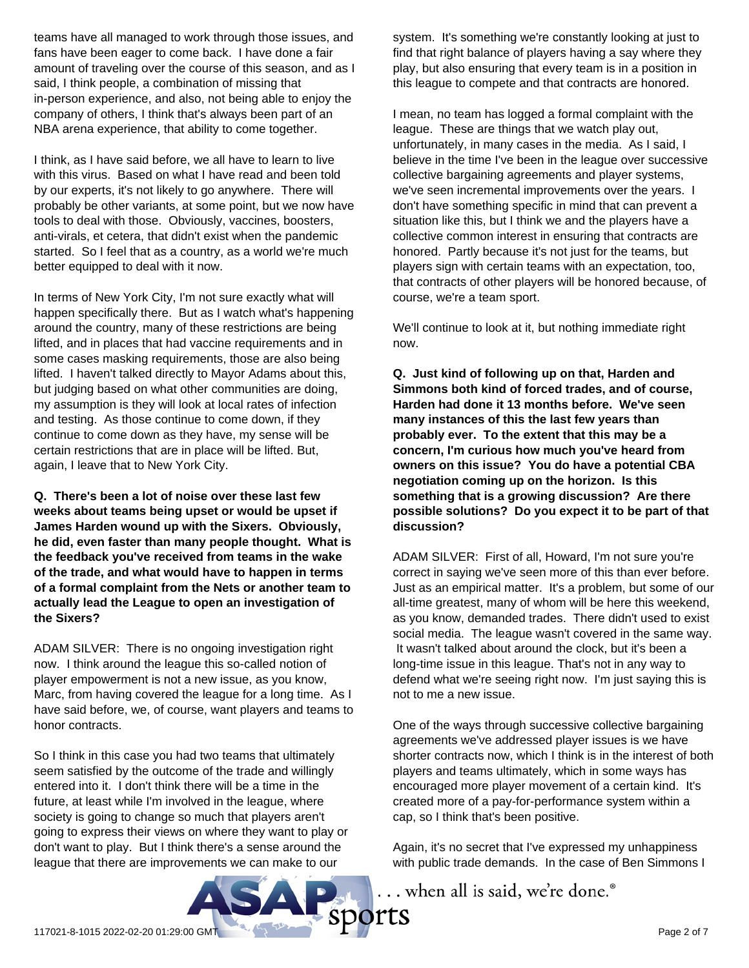teams have all managed to work through those issues, and fans have been eager to come back. I have done a fair amount of traveling over the course of this season, and as I said, I think people, a combination of missing that in-person experience, and also, not being able to enjoy the company of others, I think that's always been part of an NBA arena experience, that ability to come together.

I think, as I have said before, we all have to learn to live with this virus. Based on what I have read and been told by our experts, it's not likely to go anywhere. There will probably be other variants, at some point, but we now have tools to deal with those. Obviously, vaccines, boosters, anti-virals, et cetera, that didn't exist when the pandemic started. So I feel that as a country, as a world we're much better equipped to deal with it now.

In terms of New York City, I'm not sure exactly what will happen specifically there. But as I watch what's happening around the country, many of these restrictions are being lifted, and in places that had vaccine requirements and in some cases masking requirements, those are also being lifted. I haven't talked directly to Mayor Adams about this, but judging based on what other communities are doing, my assumption is they will look at local rates of infection and testing. As those continue to come down, if they continue to come down as they have, my sense will be certain restrictions that are in place will be lifted. But, again, I leave that to New York City.

**Q. There's been a lot of noise over these last few weeks about teams being upset or would be upset if James Harden wound up with the Sixers. Obviously, he did, even faster than many people thought. What is the feedback you've received from teams in the wake of the trade, and what would have to happen in terms of a formal complaint from the Nets or another team to actually lead the League to open an investigation of the Sixers?**

ADAM SILVER: There is no ongoing investigation right now. I think around the league this so-called notion of player empowerment is not a new issue, as you know, Marc, from having covered the league for a long time. As I have said before, we, of course, want players and teams to honor contracts.

So I think in this case you had two teams that ultimately seem satisfied by the outcome of the trade and willingly entered into it. I don't think there will be a time in the future, at least while I'm involved in the league, where society is going to change so much that players aren't going to express their views on where they want to play or don't want to play. But I think there's a sense around the league that there are improvements we can make to our

system. It's something we're constantly looking at just to find that right balance of players having a say where they play, but also ensuring that every team is in a position in this league to compete and that contracts are honored.

I mean, no team has logged a formal complaint with the league. These are things that we watch play out, unfortunately, in many cases in the media. As I said, I believe in the time I've been in the league over successive collective bargaining agreements and player systems, we've seen incremental improvements over the years. I don't have something specific in mind that can prevent a situation like this, but I think we and the players have a collective common interest in ensuring that contracts are honored. Partly because it's not just for the teams, but players sign with certain teams with an expectation, too, that contracts of other players will be honored because, of course, we're a team sport.

We'll continue to look at it, but nothing immediate right now.

**Q. Just kind of following up on that, Harden and Simmons both kind of forced trades, and of course, Harden had done it 13 months before. We've seen many instances of this the last few years than probably ever. To the extent that this may be a concern, I'm curious how much you've heard from owners on this issue? You do have a potential CBA negotiation coming up on the horizon. Is this something that is a growing discussion? Are there possible solutions? Do you expect it to be part of that discussion?**

ADAM SILVER: First of all, Howard, I'm not sure you're correct in saying we've seen more of this than ever before. Just as an empirical matter. It's a problem, but some of our all-time greatest, many of whom will be here this weekend, as you know, demanded trades. There didn't used to exist social media. The league wasn't covered in the same way. It wasn't talked about around the clock, but it's been a long-time issue in this league. That's not in any way to defend what we're seeing right now. I'm just saying this is not to me a new issue.

One of the ways through successive collective bargaining agreements we've addressed player issues is we have shorter contracts now, which I think is in the interest of both players and teams ultimately, which in some ways has encouraged more player movement of a certain kind. It's created more of a pay-for-performance system within a cap, so I think that's been positive.

Again, it's no secret that I've expressed my unhappiness with public trade demands. In the case of Ben Simmons I

... when all is said, we're done.<sup>®</sup>

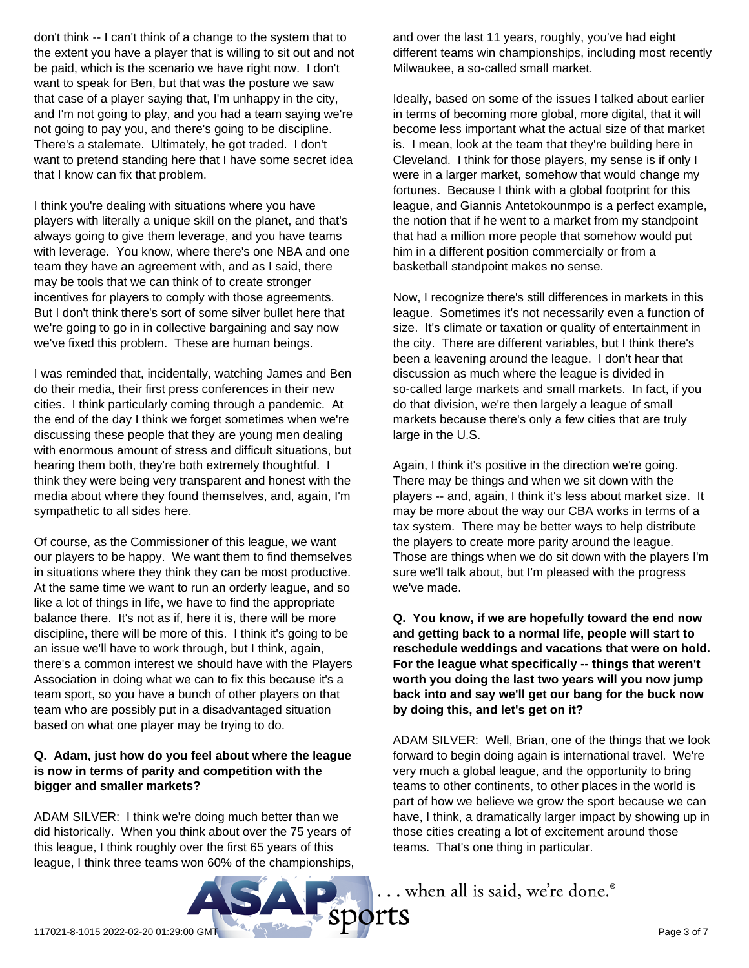don't think -- I can't think of a change to the system that to the extent you have a player that is willing to sit out and not be paid, which is the scenario we have right now. I don't want to speak for Ben, but that was the posture we saw that case of a player saying that, I'm unhappy in the city, and I'm not going to play, and you had a team saying we're not going to pay you, and there's going to be discipline. There's a stalemate. Ultimately, he got traded. I don't want to pretend standing here that I have some secret idea that I know can fix that problem.

I think you're dealing with situations where you have players with literally a unique skill on the planet, and that's always going to give them leverage, and you have teams with leverage. You know, where there's one NBA and one team they have an agreement with, and as I said, there may be tools that we can think of to create stronger incentives for players to comply with those agreements. But I don't think there's sort of some silver bullet here that we're going to go in in collective bargaining and say now we've fixed this problem. These are human beings.

I was reminded that, incidentally, watching James and Ben do their media, their first press conferences in their new cities. I think particularly coming through a pandemic. At the end of the day I think we forget sometimes when we're discussing these people that they are young men dealing with enormous amount of stress and difficult situations, but hearing them both, they're both extremely thoughtful. I think they were being very transparent and honest with the media about where they found themselves, and, again, I'm sympathetic to all sides here.

Of course, as the Commissioner of this league, we want our players to be happy. We want them to find themselves in situations where they think they can be most productive. At the same time we want to run an orderly league, and so like a lot of things in life, we have to find the appropriate balance there. It's not as if, here it is, there will be more discipline, there will be more of this. I think it's going to be an issue we'll have to work through, but I think, again, there's a common interest we should have with the Players Association in doing what we can to fix this because it's a team sport, so you have a bunch of other players on that team who are possibly put in a disadvantaged situation based on what one player may be trying to do.

## **Q. Adam, just how do you feel about where the league is now in terms of parity and competition with the bigger and smaller markets?**

ADAM SILVER: I think we're doing much better than we did historically. When you think about over the 75 years of this league, I think roughly over the first 65 years of this league, I think three teams won 60% of the championships, and over the last 11 years, roughly, you've had eight different teams win championships, including most recently Milwaukee, a so-called small market.

Ideally, based on some of the issues I talked about earlier in terms of becoming more global, more digital, that it will become less important what the actual size of that market is. I mean, look at the team that they're building here in Cleveland. I think for those players, my sense is if only I were in a larger market, somehow that would change my fortunes. Because I think with a global footprint for this league, and Giannis Antetokounmpo is a perfect example, the notion that if he went to a market from my standpoint that had a million more people that somehow would put him in a different position commercially or from a basketball standpoint makes no sense.

Now, I recognize there's still differences in markets in this league. Sometimes it's not necessarily even a function of size. It's climate or taxation or quality of entertainment in the city. There are different variables, but I think there's been a leavening around the league. I don't hear that discussion as much where the league is divided in so-called large markets and small markets. In fact, if you do that division, we're then largely a league of small markets because there's only a few cities that are truly large in the U.S.

Again, I think it's positive in the direction we're going. There may be things and when we sit down with the players -- and, again, I think it's less about market size. It may be more about the way our CBA works in terms of a tax system. There may be better ways to help distribute the players to create more parity around the league. Those are things when we do sit down with the players I'm sure we'll talk about, but I'm pleased with the progress we've made.

**Q. You know, if we are hopefully toward the end now and getting back to a normal life, people will start to reschedule weddings and vacations that were on hold. For the league what specifically -- things that weren't worth you doing the last two years will you now jump back into and say we'll get our bang for the buck now by doing this, and let's get on it?**

ADAM SILVER: Well, Brian, one of the things that we look forward to begin doing again is international travel. We're very much a global league, and the opportunity to bring teams to other continents, to other places in the world is part of how we believe we grow the sport because we can have, I think, a dramatically larger impact by showing up in those cities creating a lot of excitement around those teams. That's one thing in particular.

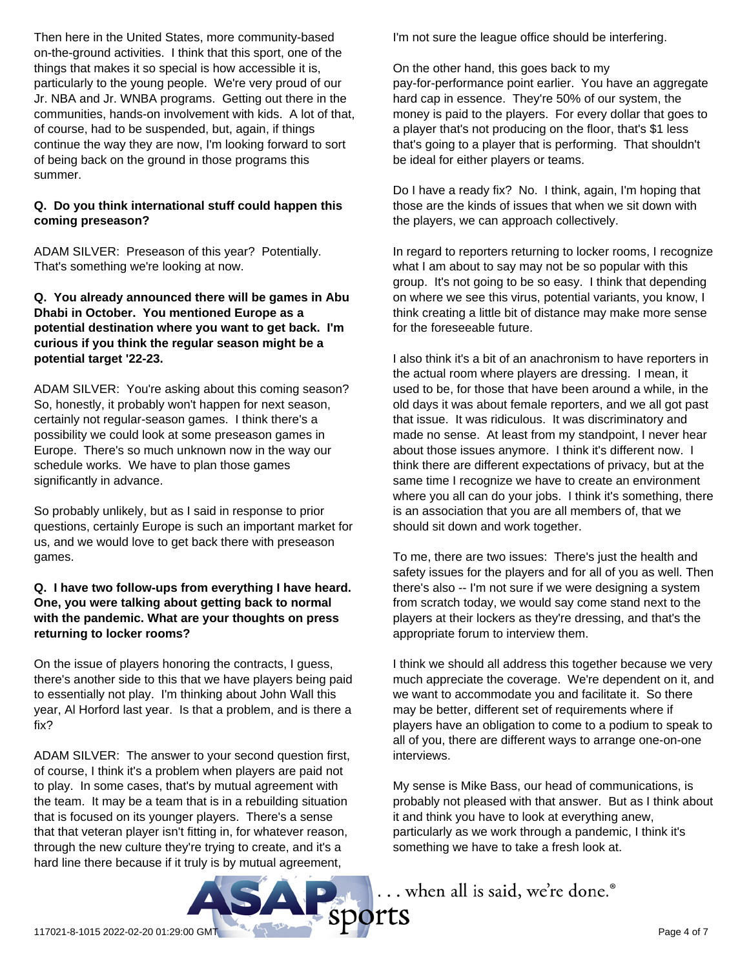Then here in the United States, more community-based on-the-ground activities. I think that this sport, one of the things that makes it so special is how accessible it is, particularly to the young people. We're very proud of our Jr. NBA and Jr. WNBA programs. Getting out there in the communities, hands-on involvement with kids. A lot of that, of course, had to be suspended, but, again, if things continue the way they are now, I'm looking forward to sort of being back on the ground in those programs this summer.

# **Q. Do you think international stuff could happen this coming preseason?**

ADAM SILVER: Preseason of this year? Potentially. That's something we're looking at now.

#### **Q. You already announced there will be games in Abu Dhabi in October. You mentioned Europe as a potential destination where you want to get back. I'm curious if you think the regular season might be a potential target '22-23.**

ADAM SILVER: You're asking about this coming season? So, honestly, it probably won't happen for next season, certainly not regular-season games. I think there's a possibility we could look at some preseason games in Europe. There's so much unknown now in the way our schedule works. We have to plan those games significantly in advance.

So probably unlikely, but as I said in response to prior questions, certainly Europe is such an important market for us, and we would love to get back there with preseason games.

#### **Q. I have two follow-ups from everything I have heard. One, you were talking about getting back to normal with the pandemic. What are your thoughts on press returning to locker rooms?**

On the issue of players honoring the contracts, I guess, there's another side to this that we have players being paid to essentially not play. I'm thinking about John Wall this year, Al Horford last year. Is that a problem, and is there a fix?

ADAM SILVER: The answer to your second question first, of course, I think it's a problem when players are paid not to play. In some cases, that's by mutual agreement with the team. It may be a team that is in a rebuilding situation that is focused on its younger players. There's a sense that that veteran player isn't fitting in, for whatever reason, through the new culture they're trying to create, and it's a hard line there because if it truly is by mutual agreement,

I'm not sure the league office should be interfering.

On the other hand, this goes back to my pay-for-performance point earlier. You have an aggregate hard cap in essence. They're 50% of our system, the money is paid to the players. For every dollar that goes to a player that's not producing on the floor, that's \$1 less that's going to a player that is performing. That shouldn't be ideal for either players or teams.

Do I have a ready fix? No. I think, again, I'm hoping that those are the kinds of issues that when we sit down with the players, we can approach collectively.

In regard to reporters returning to locker rooms, I recognize what I am about to say may not be so popular with this group. It's not going to be so easy. I think that depending on where we see this virus, potential variants, you know, I think creating a little bit of distance may make more sense for the foreseeable future.

I also think it's a bit of an anachronism to have reporters in the actual room where players are dressing. I mean, it used to be, for those that have been around a while, in the old days it was about female reporters, and we all got past that issue. It was ridiculous. It was discriminatory and made no sense. At least from my standpoint, I never hear about those issues anymore. I think it's different now. I think there are different expectations of privacy, but at the same time I recognize we have to create an environment where you all can do your jobs. I think it's something, there is an association that you are all members of, that we should sit down and work together.

To me, there are two issues: There's just the health and safety issues for the players and for all of you as well. Then there's also -- I'm not sure if we were designing a system from scratch today, we would say come stand next to the players at their lockers as they're dressing, and that's the appropriate forum to interview them.

I think we should all address this together because we very much appreciate the coverage. We're dependent on it, and we want to accommodate you and facilitate it. So there may be better, different set of requirements where if players have an obligation to come to a podium to speak to all of you, there are different ways to arrange one-on-one interviews.

My sense is Mike Bass, our head of communications, is probably not pleased with that answer. But as I think about it and think you have to look at everything anew, particularly as we work through a pandemic, I think it's something we have to take a fresh look at.



... when all is said, we're done.®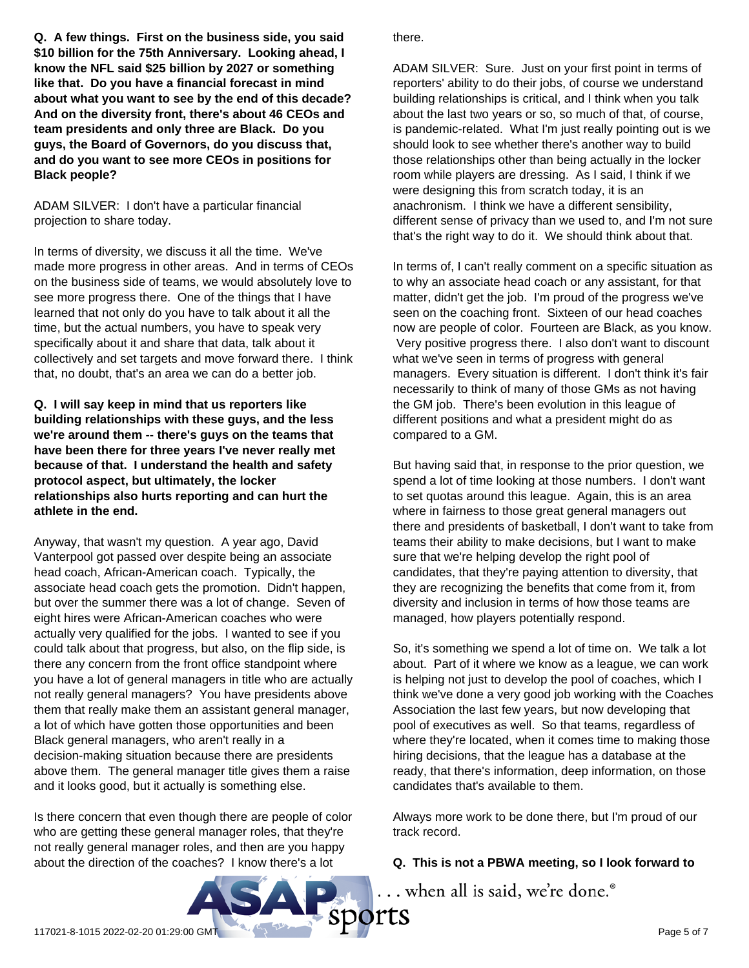**Q. A few things. First on the business side, you said \$10 billion for the 75th Anniversary. Looking ahead, I know the NFL said \$25 billion by 2027 or something like that. Do you have a financial forecast in mind about what you want to see by the end of this decade? And on the diversity front, there's about 46 CEOs and team presidents and only three are Black. Do you guys, the Board of Governors, do you discuss that, and do you want to see more CEOs in positions for Black people?**

ADAM SILVER: I don't have a particular financial projection to share today.

In terms of diversity, we discuss it all the time. We've made more progress in other areas. And in terms of CEOs on the business side of teams, we would absolutely love to see more progress there. One of the things that I have learned that not only do you have to talk about it all the time, but the actual numbers, you have to speak very specifically about it and share that data, talk about it collectively and set targets and move forward there. I think that, no doubt, that's an area we can do a better job.

**Q. I will say keep in mind that us reporters like building relationships with these guys, and the less we're around them -- there's guys on the teams that have been there for three years I've never really met because of that. I understand the health and safety protocol aspect, but ultimately, the locker relationships also hurts reporting and can hurt the athlete in the end.**

Anyway, that wasn't my question. A year ago, David Vanterpool got passed over despite being an associate head coach, African-American coach. Typically, the associate head coach gets the promotion. Didn't happen, but over the summer there was a lot of change. Seven of eight hires were African-American coaches who were actually very qualified for the jobs. I wanted to see if you could talk about that progress, but also, on the flip side, is there any concern from the front office standpoint where you have a lot of general managers in title who are actually not really general managers? You have presidents above them that really make them an assistant general manager, a lot of which have gotten those opportunities and been Black general managers, who aren't really in a decision-making situation because there are presidents above them. The general manager title gives them a raise and it looks good, but it actually is something else.

Is there concern that even though there are people of color who are getting these general manager roles, that they're not really general manager roles, and then are you happy about the direction of the coaches? I know there's a lot

there.

ADAM SILVER: Sure. Just on your first point in terms of reporters' ability to do their jobs, of course we understand building relationships is critical, and I think when you talk about the last two years or so, so much of that, of course, is pandemic-related. What I'm just really pointing out is we should look to see whether there's another way to build those relationships other than being actually in the locker room while players are dressing. As I said, I think if we were designing this from scratch today, it is an anachronism. I think we have a different sensibility, different sense of privacy than we used to, and I'm not sure that's the right way to do it. We should think about that.

In terms of, I can't really comment on a specific situation as to why an associate head coach or any assistant, for that matter, didn't get the job. I'm proud of the progress we've seen on the coaching front. Sixteen of our head coaches now are people of color. Fourteen are Black, as you know. Very positive progress there. I also don't want to discount what we've seen in terms of progress with general managers. Every situation is different. I don't think it's fair necessarily to think of many of those GMs as not having the GM job. There's been evolution in this league of different positions and what a president might do as compared to a GM.

But having said that, in response to the prior question, we spend a lot of time looking at those numbers. I don't want to set quotas around this league. Again, this is an area where in fairness to those great general managers out there and presidents of basketball, I don't want to take from teams their ability to make decisions, but I want to make sure that we're helping develop the right pool of candidates, that they're paying attention to diversity, that they are recognizing the benefits that come from it, from diversity and inclusion in terms of how those teams are managed, how players potentially respond.

So, it's something we spend a lot of time on. We talk a lot about. Part of it where we know as a league, we can work is helping not just to develop the pool of coaches, which I think we've done a very good job working with the Coaches Association the last few years, but now developing that pool of executives as well. So that teams, regardless of where they're located, when it comes time to making those hiring decisions, that the league has a database at the ready, that there's information, deep information, on those candidates that's available to them.

Always more work to be done there, but I'm proud of our track record.

#### **Q. This is not a PBWA meeting, so I look forward to**

... when all is said, we're done.®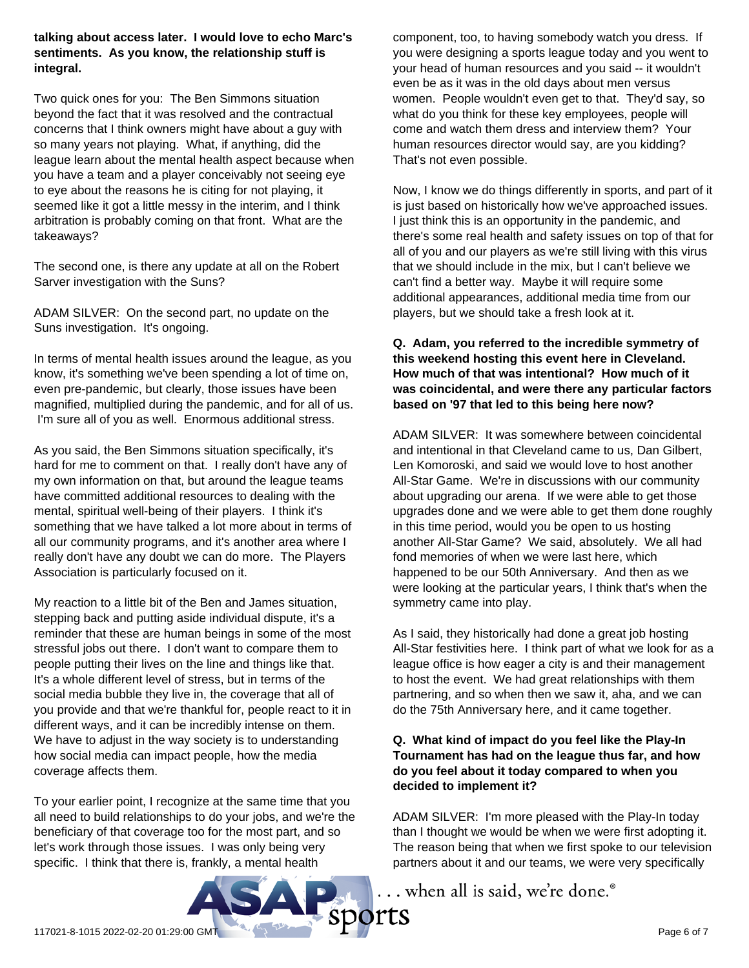#### **talking about access later. I would love to echo Marc's sentiments. As you know, the relationship stuff is integral.**

Two quick ones for you: The Ben Simmons situation beyond the fact that it was resolved and the contractual concerns that I think owners might have about a guy with so many years not playing. What, if anything, did the league learn about the mental health aspect because when you have a team and a player conceivably not seeing eye to eye about the reasons he is citing for not playing, it seemed like it got a little messy in the interim, and I think arbitration is probably coming on that front. What are the takeaways?

The second one, is there any update at all on the Robert Sarver investigation with the Suns?

ADAM SILVER: On the second part, no update on the Suns investigation. It's ongoing.

In terms of mental health issues around the league, as you know, it's something we've been spending a lot of time on, even pre-pandemic, but clearly, those issues have been magnified, multiplied during the pandemic, and for all of us. I'm sure all of you as well. Enormous additional stress.

As you said, the Ben Simmons situation specifically, it's hard for me to comment on that. I really don't have any of my own information on that, but around the league teams have committed additional resources to dealing with the mental, spiritual well-being of their players. I think it's something that we have talked a lot more about in terms of all our community programs, and it's another area where I really don't have any doubt we can do more. The Players Association is particularly focused on it.

My reaction to a little bit of the Ben and James situation, stepping back and putting aside individual dispute, it's a reminder that these are human beings in some of the most stressful jobs out there. I don't want to compare them to people putting their lives on the line and things like that. It's a whole different level of stress, but in terms of the social media bubble they live in, the coverage that all of you provide and that we're thankful for, people react to it in different ways, and it can be incredibly intense on them. We have to adjust in the way society is to understanding how social media can impact people, how the media coverage affects them.

To your earlier point, I recognize at the same time that you all need to build relationships to do your jobs, and we're the beneficiary of that coverage too for the most part, and so let's work through those issues. I was only being very specific. I think that there is, frankly, a mental health

component, too, to having somebody watch you dress. If you were designing a sports league today and you went to your head of human resources and you said -- it wouldn't even be as it was in the old days about men versus women. People wouldn't even get to that. They'd say, so what do you think for these key employees, people will come and watch them dress and interview them? Your human resources director would say, are you kidding? That's not even possible.

Now, I know we do things differently in sports, and part of it is just based on historically how we've approached issues. I just think this is an opportunity in the pandemic, and there's some real health and safety issues on top of that for all of you and our players as we're still living with this virus that we should include in the mix, but I can't believe we can't find a better way. Maybe it will require some additional appearances, additional media time from our players, but we should take a fresh look at it.

#### **Q. Adam, you referred to the incredible symmetry of this weekend hosting this event here in Cleveland. How much of that was intentional? How much of it was coincidental, and were there any particular factors based on '97 that led to this being here now?**

ADAM SILVER: It was somewhere between coincidental and intentional in that Cleveland came to us, Dan Gilbert, Len Komoroski, and said we would love to host another All-Star Game. We're in discussions with our community about upgrading our arena. If we were able to get those upgrades done and we were able to get them done roughly in this time period, would you be open to us hosting another All-Star Game? We said, absolutely. We all had fond memories of when we were last here, which happened to be our 50th Anniversary. And then as we were looking at the particular years, I think that's when the symmetry came into play.

As I said, they historically had done a great job hosting All-Star festivities here. I think part of what we look for as a league office is how eager a city is and their management to host the event. We had great relationships with them partnering, and so when then we saw it, aha, and we can do the 75th Anniversary here, and it came together.

## **Q. What kind of impact do you feel like the Play-In Tournament has had on the league thus far, and how do you feel about it today compared to when you decided to implement it?**

ADAM SILVER: I'm more pleased with the Play-In today than I thought we would be when we were first adopting it. The reason being that when we first spoke to our television partners about it and our teams, we were very specifically

... when all is said, we're done.<sup>®</sup>